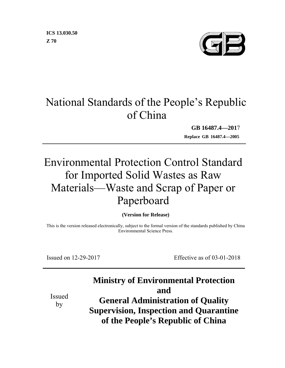

# National Standards of the People's Republic of China

**GB 16487.4—201**7

**Replace GB 16487.4—2005**

# Environmental Protection Control Standard for Imported Solid Wastes as Raw Materials—Waste and Scrap of Paper or Paperboard

**(Version for Release)** 

This is the version released electronically, subject to the formal version of the standards published by China Environmental Science Press.

Issued on 12-29-2017 Effective as of 03-01-2018

## **Ministry of Environmental Protection and**

Issued by

**General Administration of Quality Supervision, Inspection and Quarantine of the People's Republic of China**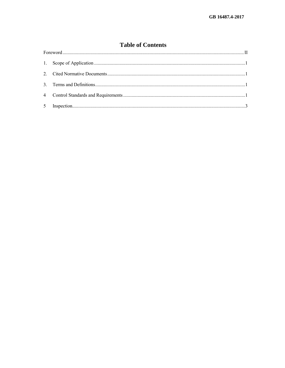### **Table of Contents**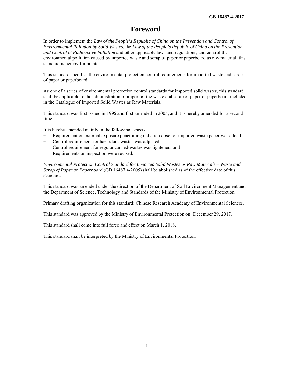### **Foreword**

In order to implement the *Law of the People's Republic of China on the Prevention and Control of Environmental Pollution by Solid Wastes*, the *Law of the People's Republic of China on the Prevention and Control of Radioactive Pollution* and other applicable laws and regulations, and control the environmental pollution caused by imported waste and scrap of paper or paperboard as raw material, this standard is hereby formulated.

This standard specifies the environmental protection control requirements for imported waste and scrap of paper or paperboard.

As one of a series of environmental protection control standards for imported solid wastes, this standard shall be applicable to the administration of import of the waste and scrap of paper or paperboard included in the Catalogue of Imported Solid Wastes as Raw Materials.

This standard was first issued in 1996 and first amended in 2005, and it is hereby amended for a second time.

It is hereby amended mainly in the following aspects:

- Requirement on external exposure penetrating radiation dose for imported waste paper was added;
- Control requirement for hazardous wastes was adjusted;
- Control requirement for regular carried-wastes was tightened; and
- Requirements on inspection were revised.

*Environmental Protection Control Standard for Imported Solid Wastes as Raw Materials – Waste and Scrap of Paper or Paperboard* (GB 16487.4-2005) shall be abolished as of the effective date of this standard.

This standard was amended under the direction of the Department of Soil Environment Management and the Department of Science, Technology and Standards of the Ministry of Environmental Protection.

Primary drafting organization for this standard: Chinese Research Academy of Environmental Sciences.

This standard was approved by the Ministry of Environmental Protection on December 29, 2017.

This standard shall come into full force and effect on March 1, 2018.

This standard shall be interpreted by the Ministry of Environmental Protection.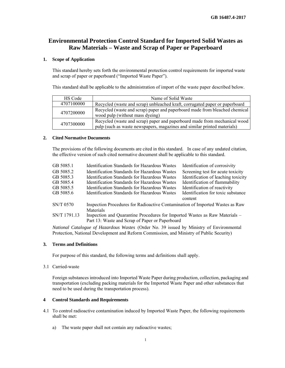### **Environmental Protection Control Standard for Imported Solid Wastes as Raw Materials – Waste and Scrap of Paper or Paperboard**

#### **1. Scope of Application**

This standard hereby sets forth the environmental protection control requirements for imported waste and scrap of paper or paperboard ("Imported Waste Paper").

This standard shall be applicable to the administration of import of the waste paper described below.

| <b>HS Code</b> | Name of Solid Waste                                                                                                                                   |
|----------------|-------------------------------------------------------------------------------------------------------------------------------------------------------|
| 4707100000     | Recycled (waste and scrap) unbleached kraft, corrugated paper or paperboard                                                                           |
| 4707200000     | Recycled (waste and scrap) paper and paperboard made from bleached chemical<br>wood pulp (without mass dyeing)                                        |
| 4707300000     | Recycled (waste and scrap) paper and paperboard made from mechanical wood<br>pulp (such as waste newspapers, magazines and similar printed materials) |

#### **2. Cited Normative Documents**

The provisions of the following documents are cited in this standard. In case of any undated citation, the effective version of such cited normative document shall be applicable to this standard.

| GB 5085.1    | <b>Identification Standards for Hazardous Wastes</b>                          | Identification of corrosivity                 |  |  |
|--------------|-------------------------------------------------------------------------------|-----------------------------------------------|--|--|
| GB 5085.2    | <b>Identification Standards for Hazardous Wastes</b>                          | Screening test for acute toxicity             |  |  |
| GB 5085.3    | <b>Identification Standards for Hazardous Wastes</b>                          | Identification of leaching toxicity           |  |  |
| GB 5085.4    | Identification Standards for Hazardous Wastes                                 | Identification of flammability                |  |  |
| GB 5085.5    | <b>Identification Standards for Hazardous Wastes</b>                          | Identification of reactivity                  |  |  |
| GB 5085.6    | <b>Identification Standards for Hazardous Wastes</b>                          | Identification for toxic substance<br>content |  |  |
| SN/T 0570    | Inspection Procedures for Radioactive Contamination of Imported Wastes as Raw |                                               |  |  |
|              | Materials                                                                     |                                               |  |  |
| SN/T 1791.13 | Inspection and Quarantine Procedures for Imported Wastes as Raw Materials –   |                                               |  |  |
|              | Part 13: Waste and Scrap of Paper or Paperboard                               |                                               |  |  |

*National Catalogue of Hazardous Wastes* (Order No. 39 issued by Ministry of Environmental Protection, National Development and Reform Commission, and Ministry of Public Security)

#### **3. Terms and Definitions**

For purpose of this standard, the following terms and definitions shall apply.

3.1 Carried-waste

Foreign substances introduced into Imported Waste Paper during production, collection, packaging and transportation (excluding packing materials for the Imported Waste Paper and other substances that need to be used during the transportation process).

#### **4 Control Standards and Requirements**

- 4.1 To control radioactive contamination induced by Imported Waste Paper, the following requirements shall be met:
	- a) The waste paper shall not contain any radioactive wastes;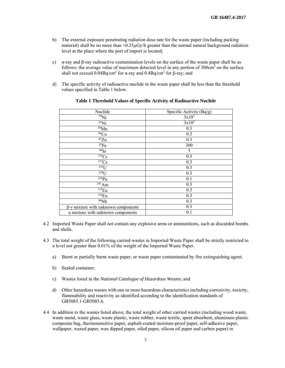- b) The external exposure penetrating radiation dose rate for the waste paper (including packing material) shall be no more than  $+0.25\mu Gy/h$  greater than the normal natural background radiation level at the place where the port of import is located;
- c) α-ray and β-ray radioactive contamination levels on the surface of the waste paper shall be as follows: the average value of maximum detected level in any portion of  $300 \text{cm}^2$  on the surface shall not exceed  $0.04Bq/cm<sup>2</sup>$  for α-ray and  $0.4Bq/cm<sup>2</sup>$  for β-ray; and
- d) The specific activity of radioactive nuclide in the waste paper shall be less than the threshold values specified in Table 1 below.

| Nuclide                                  | Specific Activity (Bq/g) |
|------------------------------------------|--------------------------|
| $59$ Ni                                  | $3x10^3$                 |
| $^{63}$ Ni                               | $3x10^3$                 |
| 54Mn                                     | 0.3                      |
| ${}^{60}Co$                              | 0.3                      |
| $\overline{^{65}Zn}$                     | 0.3                      |
| 55Fe                                     | 300                      |
| 90Sr                                     | 3                        |
| 134Cs                                    | 0.3                      |
| $\overline{^{137}}Cs$                    | 0.3                      |
| $\overline{^{235}}U$                     | 0.3                      |
| $238$ U                                  | 0.3                      |
| $239$ Pu                                 | 0.1                      |
| $\overline{^{241}}$ Am                   | 0.3                      |
| $152_{\text{Eu}}$                        | 0.3                      |
| $154$ Eu                                 | 0.3                      |
| 94Nb                                     | 0.3                      |
| β-γ mixture with unknown components      | 0.3                      |
| $\alpha$ mixture with unknown components | 0.1                      |

#### **Table 1 Threshold Values of Specific Activity of Radioactive Nuclide**

- 4.2 Imported Waste Paper shall not contain any explosive arms or ammunitions, such as discarded bombs and shells.
- 4.3 The total weight of the following carried-wastes in Imported Waste Paper shall be strictly restricted to a level not greater than 0.01% of the weight of the Imported Waste Paper.
	- a) Burnt or partially burnt waste paper, or waste paper contaminated by fire extinguishing agent;
	- b) Sealed container;
	- c) Wastes listed in the *National Catalogue of Hazardous Wastes*; and
	- d) Other hazardous wastes with one or more hazardous characteristics including corrosivity, toxicity, flammability and reactivity as identified according to the identification standards of GB5085.1-GB5085.6.
- 4.4 In addition to the wastes listed above, the total weight of other carried wastes (including wood waste, waste metal, waste glass, waste plastic, waste rubber, waste textile, spent absorbent, aluminum-plastic composite bag, thermosensitive paper, asphalt-coated moisture-proof paper, self-adhesive paper, wallpaper, waxed paper, wax dipped paper, oiled paper, silicon oil paper and carbon paper) in